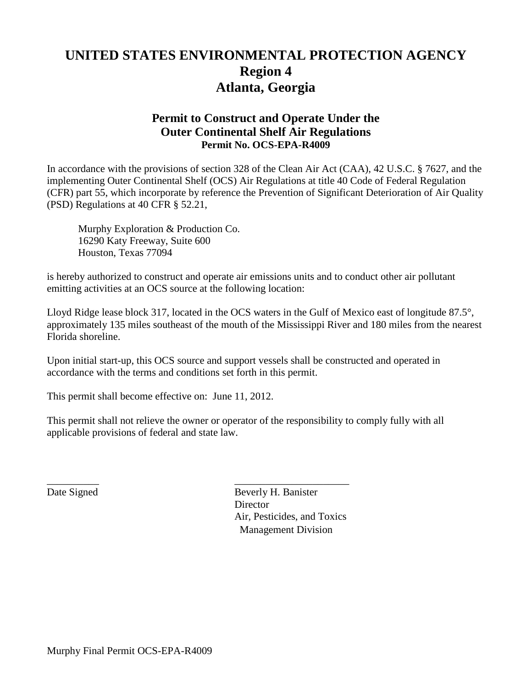# **UNITED STATES ENVIRONMENTAL PROTECTION AGENCY Region 4 Atlanta, Georgia**

## **Permit to Construct and Operate Under the Outer Continental Shelf Air Regulations Permit No. OCS-EPA-R4009**

In accordance with the provisions of section 328 of the Clean Air Act (CAA), 42 U.S.C. § 7627, and the implementing Outer Continental Shelf (OCS) Air Regulations at title 40 Code of Federal Regulation (CFR) part 55, which incorporate by reference the Prevention of Significant Deterioration of Air Quality (PSD) Regulations at 40 CFR § 52.21,

Murphy Exploration & Production Co. 16290 Katy Freeway, Suite 600 Houston, Texas 77094

is hereby authorized to construct and operate air emissions units and to conduct other air pollutant emitting activities at an OCS source at the following location:

Lloyd Ridge lease block 317, located in the OCS waters in the Gulf of Mexico east of longitude 87.5°, approximately 135 miles southeast of the mouth of the Mississippi River and 180 miles from the nearest Florida shoreline.

Upon initial start-up, this OCS source and support vessels shall be constructed and operated in accordance with the terms and conditions set forth in this permit.

This permit shall become effective on: June 11, 2012.

This permit shall not relieve the owner or operator of the responsibility to comply fully with all applicable provisions of federal and state law.

\_\_\_\_\_\_\_\_\_\_ \_\_\_\_\_\_\_\_\_\_\_\_\_\_\_\_\_\_\_\_\_\_ Date Signed Beverly H. Banister **Director** Air, Pesticides, and Toxics Management Division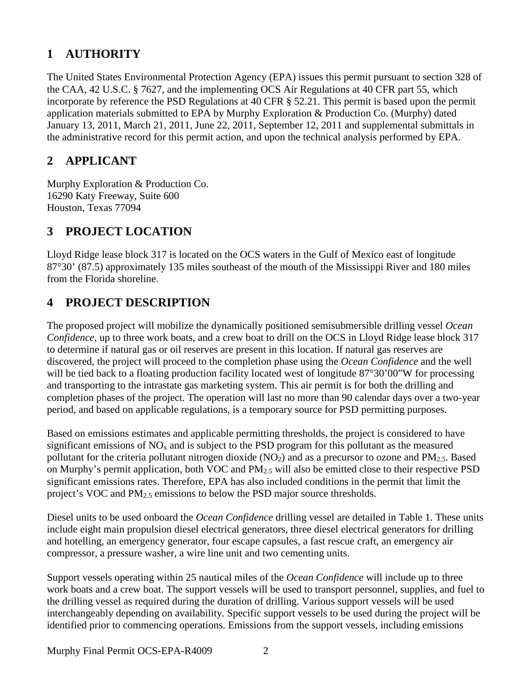# **1 AUTHORITY**

The United States Environmental Protection Agency (EPA) issues this permit pursuant to section 328 of the CAA, 42 U.S.C. § 7627, and the implementing OCS Air Regulations at 40 CFR part 55, which incorporate by reference the PSD Regulations at 40 CFR § 52.21. This permit is based upon the permit application materials submitted to EPA by Murphy Exploration & Production Co. (Murphy) dated January 13, 2011, March 21, 2011, June 22, 2011, September 12, 2011 and supplemental submittals in the administrative record for this permit action, and upon the technical analysis performed by EPA.

## **2 APPLICANT**

Murphy Exploration & Production Co. 16290 Katy Freeway, Suite 600 Houston, Texas 77094

## **3 PROJECT LOCATION**

Lloyd Ridge lease block 317 is located on the OCS waters in the Gulf of Mexico east of longitude 87°30' (87.5) approximately 135 miles southeast of the mouth of the Mississippi River and 180 miles from the Florida shoreline.

## **4 PROJECT DESCRIPTION**

The proposed project will mobilize the dynamically positioned semisubmersible drilling vessel *Ocean Confidence*, up to three work boats, and a crew boat to drill on the OCS in Lloyd Ridge lease block 317 to determine if natural gas or oil reserves are present in this location. If natural gas reserves are discovered, the project will proceed to the completion phase using the *Ocean Confidence* and the well will be tied back to a floating production facility located west of longitude 87°30'00"W for processing and transporting to the intrastate gas marketing system. This air permit is for both the drilling and completion phases of the project. The operation will last no more than 90 calendar days over a two-year period, and based on applicable regulations, is a temporary source for PSD permitting purposes.

Based on emissions estimates and applicable permitting thresholds, the project is considered to have significant emissions of  $NO<sub>x</sub>$  and is subject to the PSD program for this pollutant as the measured pollutant for the criteria pollutant nitrogen dioxide  $(NO<sub>2</sub>)$  and as a precursor to ozone and PM<sub>2.5</sub>. Based on Murphy's permit application, both VOC and PM2.5 will also be emitted close to their respective PSD significant emissions rates. Therefore, EPA has also included conditions in the permit that limit the project's VOC and PM<sub>2.5</sub> emissions to below the PSD major source thresholds.

Diesel units to be used onboard the *Ocean Confidence* drilling vessel are detailed in Table 1. These units include eight main propulsion diesel electrical generators, three diesel electrical generators for drilling and hotelling, an emergency generator, four escape capsules, a fast rescue craft, an emergency air compressor, a pressure washer, a wire line unit and two cementing units.

Support vessels operating within 25 nautical miles of the *Ocean Confidence* will include up to three work boats and a crew boat. The support vessels will be used to transport personnel, supplies, and fuel to the drilling vessel as required during the duration of drilling. Various support vessels will be used interchangeably depending on availability. Specific support vessels to be used during the project will be identified prior to commencing operations. Emissions from the support vessels, including emissions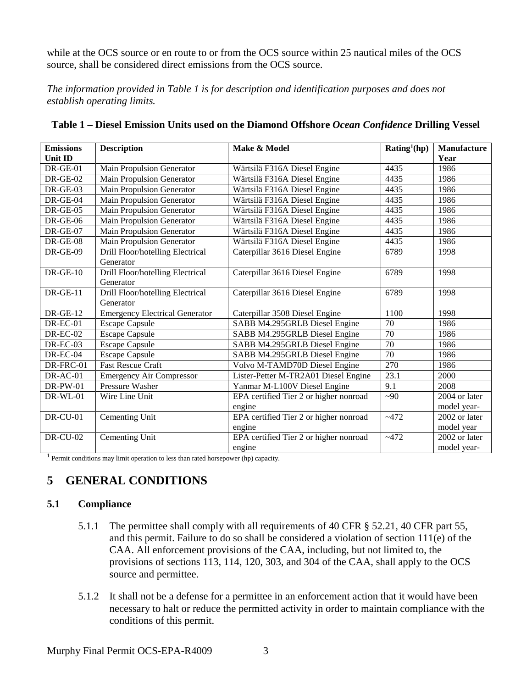while at the OCS source or en route to or from the OCS source within 25 nautical miles of the OCS source, shall be considered direct emissions from the OCS source.

*The information provided in Table 1 is for description and identification purposes and does not establish operating limits.*

| <b>Emissions</b> | <b>Description</b>                            | Make & Model                           | Rating <sup>1</sup> (hp) | Manufacture   |
|------------------|-----------------------------------------------|----------------------------------------|--------------------------|---------------|
| <b>Unit ID</b>   |                                               |                                        |                          | Year          |
| $DR-GE-01$       | Main Propulsion Generator                     | Wärtsilä F316A Diesel Engine           | 4435                     | 1986          |
| $DR-GE-02$       | <b>Main Propulsion Generator</b>              | Wärtsilä F316A Diesel Engine           | 4435                     | 1986          |
| DR-GE-03         | Main Propulsion Generator                     | Wärtsilä F316A Diesel Engine           | 4435                     | 1986          |
| DR-GE-04         | Main Propulsion Generator                     | Wärtsilä F316A Diesel Engine           | 4435                     | 1986          |
| $DR-GE-05$       | Main Propulsion Generator                     | Wärtsilä F316A Diesel Engine           | 4435                     | 1986          |
| $DR-GE-06$       | Main Propulsion Generator                     | Wärtsilä F316A Diesel Engine           | 4435                     | 1986          |
| $DR-GE-07$       | <b>Main Propulsion Generator</b>              | Wärtsilä F316A Diesel Engine           | 4435                     | 1986          |
| $DR-GE-08$       | Main Propulsion Generator                     | Wärtsilä F316A Diesel Engine           | 4435                     | 1986          |
| <b>DR-GE-09</b>  | Drill Floor/hotelling Electrical<br>Generator | Caterpillar 3616 Diesel Engine         | 6789                     | 1998          |
| $DR-GE-10$       | Drill Floor/hotelling Electrical<br>Generator | Caterpillar 3616 Diesel Engine         | 6789                     | 1998          |
| $DR-GE-11$       | Drill Floor/hotelling Electrical<br>Generator | Caterpillar 3616 Diesel Engine         | 6789                     | 1998          |
| $DR-GE-12$       | <b>Emergency Electrical Generator</b>         | Caterpillar 3508 Diesel Engine         | 1100                     | 1998          |
| $DR-EC-01$       | <b>Escape Capsule</b>                         | SABB M4.295GRLB Diesel Engine          | 70                       | 1986          |
| <b>DR-EC-02</b>  | <b>Escape Capsule</b>                         | SABB M4.295GRLB Diesel Engine          | $\overline{70}$          | 1986          |
| <b>DR-EC-03</b>  | <b>Escape Capsule</b>                         | SABB M4.295GRLB Diesel Engine          | 70                       | 1986          |
| DR-EC-04         | <b>Escape Capsule</b>                         | SABB M4.295GRLB Diesel Engine          | 70                       | 1986          |
| DR-FRC-01        | <b>Fast Rescue Craft</b>                      | Volvo M-TAMD70D Diesel Engine          | 270                      | 1986          |
| DR-AC-01         | <b>Emergency Air Compressor</b>               | Lister-Petter M-TR2A01 Diesel Engine   | 23.1                     | 2000          |
| $DR-PW-01$       | Pressure Washer                               | Yanmar M-L100V Diesel Engine           | 9.1                      | 2008          |
| <b>DR-WL-01</b>  | Wire Line Unit                                | EPA certified Tier 2 or higher nonroad | $\sim 90$                | 2004 or later |
|                  |                                               | engine                                 |                          | model year-   |
| <b>DR-CU-01</b>  | Cementing Unit                                | EPA certified Tier 2 or higher nonroad | ~1472                    | 2002 or later |
|                  |                                               | engine                                 |                          | model year    |
| <b>DR-CU-02</b>  | Cementing Unit                                | EPA certified Tier 2 or higher nonroad | ~1472                    | 2002 or later |
|                  |                                               | engine                                 |                          | model year-   |

| Table 1 – Diesel Emission Units used on the Diamond Offshore Ocean Confidence Drilling Vessel |  |
|-----------------------------------------------------------------------------------------------|--|
|-----------------------------------------------------------------------------------------------|--|

<sup>1</sup> Permit conditions may limit operation to less than rated horsepower (hp) capacity.

## **5 GENERAL CONDITIONS**

#### **5.1 Compliance**

- 5.1.1 The permittee shall comply with all requirements of 40 CFR § 52.21, 40 CFR part 55, and this permit. Failure to do so shall be considered a violation of section 111(e) of the CAA. All enforcement provisions of the CAA, including, but not limited to, the provisions of sections 113, 114, 120, 303, and 304 of the CAA, shall apply to the OCS source and permittee.
- 5.1.2 It shall not be a defense for a permittee in an enforcement action that it would have been necessary to halt or reduce the permitted activity in order to maintain compliance with the conditions of this permit.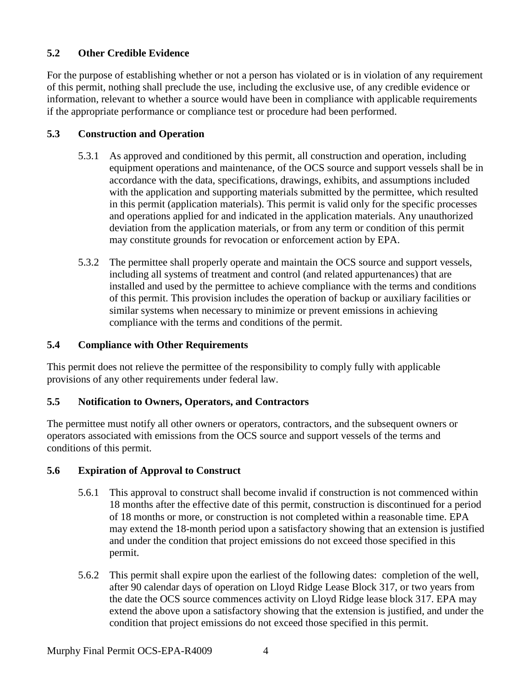## **5.2 Other Credible Evidence**

For the purpose of establishing whether or not a person has violated or is in violation of any requirement of this permit, nothing shall preclude the use, including the exclusive use, of any credible evidence or information, relevant to whether a source would have been in compliance with applicable requirements if the appropriate performance or compliance test or procedure had been performed.

### **5.3 Construction and Operation**

- 5.3.1 As approved and conditioned by this permit, all construction and operation, including equipment operations and maintenance, of the OCS source and support vessels shall be in accordance with the data, specifications, drawings, exhibits, and assumptions included with the application and supporting materials submitted by the permittee, which resulted in this permit (application materials). This permit is valid only for the specific processes and operations applied for and indicated in the application materials. Any unauthorized deviation from the application materials, or from any term or condition of this permit may constitute grounds for revocation or enforcement action by EPA.
- 5.3.2 The permittee shall properly operate and maintain the OCS source and support vessels, including all systems of treatment and control (and related appurtenances) that are installed and used by the permittee to achieve compliance with the terms and conditions of this permit. This provision includes the operation of backup or auxiliary facilities or similar systems when necessary to minimize or prevent emissions in achieving compliance with the terms and conditions of the permit.

### **5.4 Compliance with Other Requirements**

This permit does not relieve the permittee of the responsibility to comply fully with applicable provisions of any other requirements under federal law.

### **5.5 Notification to Owners, Operators, and Contractors**

The permittee must notify all other owners or operators, contractors, and the subsequent owners or operators associated with emissions from the OCS source and support vessels of the terms and conditions of this permit.

### **5.6 Expiration of Approval to Construct**

- 5.6.1 This approval to construct shall become invalid if construction is not commenced within 18 months after the effective date of this permit, construction is discontinued for a period of 18 months or more, or construction is not completed within a reasonable time. EPA may extend the 18-month period upon a satisfactory showing that an extension is justified and under the condition that project emissions do not exceed those specified in this permit.
- 5.6.2 This permit shall expire upon the earliest of the following dates: completion of the well, after 90 calendar days of operation on Lloyd Ridge Lease Block 317, or two years from the date the OCS source commences activity on Lloyd Ridge lease block 317. EPA may extend the above upon a satisfactory showing that the extension is justified, and under the condition that project emissions do not exceed those specified in this permit.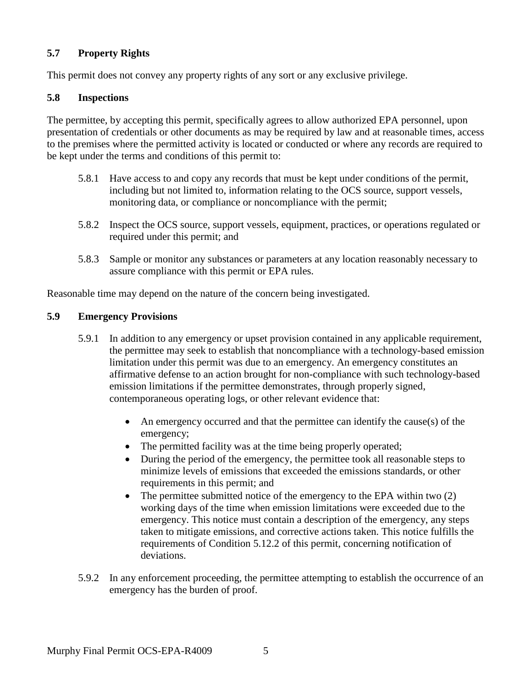### **5.7 Property Rights**

This permit does not convey any property rights of any sort or any exclusive privilege.

#### **5.8 Inspections**

The permittee, by accepting this permit, specifically agrees to allow authorized EPA personnel, upon presentation of credentials or other documents as may be required by law and at reasonable times, access to the premises where the permitted activity is located or conducted or where any records are required to be kept under the terms and conditions of this permit to:

- 5.8.1 Have access to and copy any records that must be kept under conditions of the permit, including but not limited to, information relating to the OCS source, support vessels, monitoring data, or compliance or noncompliance with the permit;
- 5.8.2 Inspect the OCS source, support vessels, equipment, practices, or operations regulated or required under this permit; and
- 5.8.3 Sample or monitor any substances or parameters at any location reasonably necessary to assure compliance with this permit or EPA rules.

Reasonable time may depend on the nature of the concern being investigated.

#### **5.9 Emergency Provisions**

- 5.9.1 In addition to any emergency or upset provision contained in any applicable requirement, the permittee may seek to establish that noncompliance with a technology-based emission limitation under this permit was due to an emergency. An emergency constitutes an affirmative defense to an action brought for non-compliance with such technology-based emission limitations if the permittee demonstrates, through properly signed, contemporaneous operating logs, or other relevant evidence that:
	- An emergency occurred and that the permittee can identify the cause(s) of the emergency;
	- The permitted facility was at the time being properly operated;
	- During the period of the emergency, the permittee took all reasonable steps to minimize levels of emissions that exceeded the emissions standards, or other requirements in this permit; and
	- The permittee submitted notice of the emergency to the EPA within two (2) working days of the time when emission limitations were exceeded due to the emergency. This notice must contain a description of the emergency, any steps taken to mitigate emissions, and corrective actions taken. This notice fulfills the requirements of Condition 5.12.2 of this permit, concerning notification of deviations.
- 5.9.2 In any enforcement proceeding, the permittee attempting to establish the occurrence of an emergency has the burden of proof.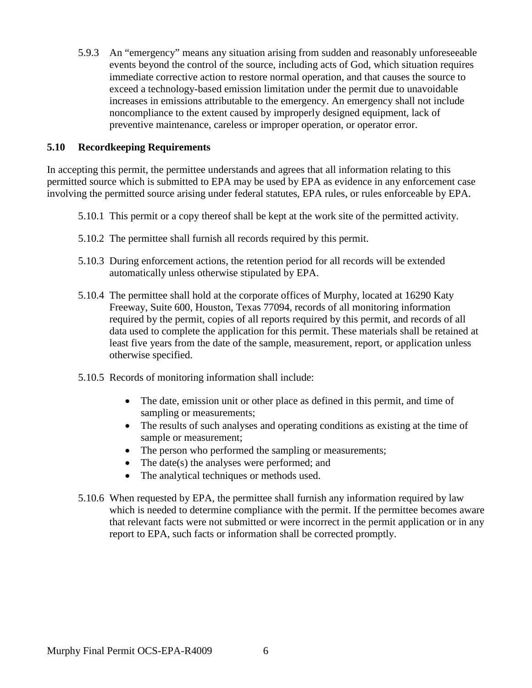5.9.3 An "emergency" means any situation arising from sudden and reasonably unforeseeable events beyond the control of the source, including acts of God, which situation requires immediate corrective action to restore normal operation, and that causes the source to exceed a technology-based emission limitation under the permit due to unavoidable increases in emissions attributable to the emergency. An emergency shall not include noncompliance to the extent caused by improperly designed equipment, lack of preventive maintenance, careless or improper operation, or operator error.

#### **5.10 Recordkeeping Requirements**

In accepting this permit, the permittee understands and agrees that all information relating to this permitted source which is submitted to EPA may be used by EPA as evidence in any enforcement case involving the permitted source arising under federal statutes, EPA rules, or rules enforceable by EPA.

- 5.10.1 This permit or a copy thereof shall be kept at the work site of the permitted activity.
- 5.10.2 The permittee shall furnish all records required by this permit.
- 5.10.3 During enforcement actions, the retention period for all records will be extended automatically unless otherwise stipulated by EPA.
- 5.10.4 The permittee shall hold at the corporate offices of Murphy, located at 16290 Katy Freeway, Suite 600, Houston, Texas 77094, records of all monitoring information required by the permit, copies of all reports required by this permit, and records of all data used to complete the application for this permit. These materials shall be retained at least five years from the date of the sample, measurement, report, or application unless otherwise specified.
- 5.10.5 Records of monitoring information shall include:
	- The date, emission unit or other place as defined in this permit, and time of sampling or measurements;
	- The results of such analyses and operating conditions as existing at the time of sample or measurement;
	- The person who performed the sampling or measurements;
	- The date(s) the analyses were performed; and
	- The analytical techniques or methods used.
- 5.10.6 When requested by EPA, the permittee shall furnish any information required by law which is needed to determine compliance with the permit. If the permittee becomes aware that relevant facts were not submitted or were incorrect in the permit application or in any report to EPA, such facts or information shall be corrected promptly.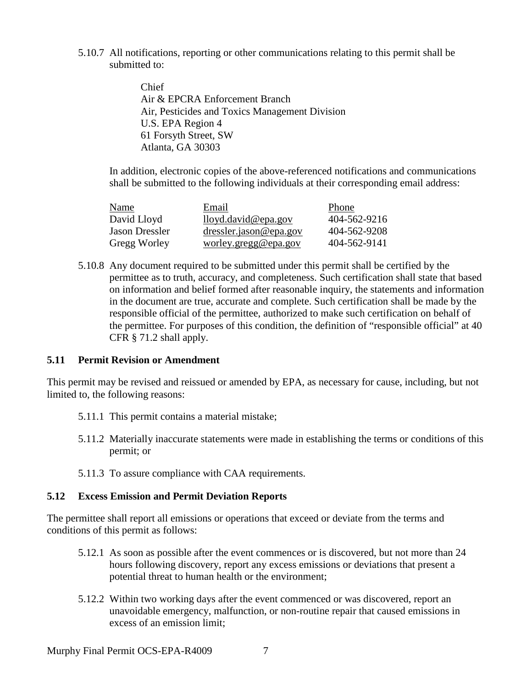5.10.7 All notifications, reporting or other communications relating to this permit shall be submitted to:

> Chief Air & EPCRA Enforcement Branch Air, Pesticides and Toxics Management Division U.S. EPA Region 4 61 Forsyth Street, SW Atlanta, GA 30303

In addition, electronic copies of the above-referenced notifications and communications shall be submitted to the following individuals at their corresponding email address:

| Name           | Email                                                                              | Phone        |
|----------------|------------------------------------------------------------------------------------|--------------|
| David Lloyd    | lloyd.david@epa.gov                                                                | 404-562-9216 |
| Jason Dressler | $dressler.java \oplus epa.gov$                                                     | 404-562-9208 |
| Gregg Worley   | $\underline{\text{worker}}, \underline{\text{greg}} \& \underline{\text{epa.gov}}$ | 404-562-9141 |

5.10.8 Any document required to be submitted under this permit shall be certified by the permittee as to truth, accuracy, and completeness. Such certification shall state that based on information and belief formed after reasonable inquiry, the statements and information in the document are true, accurate and complete. Such certification shall be made by the responsible official of the permittee, authorized to make such certification on behalf of the permittee. For purposes of this condition, the definition of "responsible official" at 40 CFR § 71.2 shall apply.

#### **5.11 Permit Revision or Amendment**

This permit may be revised and reissued or amended by EPA, as necessary for cause, including, but not limited to, the following reasons:

- 5.11.1 This permit contains a material mistake;
- 5.11.2 Materially inaccurate statements were made in establishing the terms or conditions of this permit; or
- 5.11.3 To assure compliance with CAA requirements.

#### **5.12 Excess Emission and Permit Deviation Reports**

The permittee shall report all emissions or operations that exceed or deviate from the terms and conditions of this permit as follows:

- 5.12.1 As soon as possible after the event commences or is discovered, but not more than 24 hours following discovery, report any excess emissions or deviations that present a potential threat to human health or the environment;
- 5.12.2 Within two working days after the event commenced or was discovered, report an unavoidable emergency, malfunction, or non-routine repair that caused emissions in excess of an emission limit;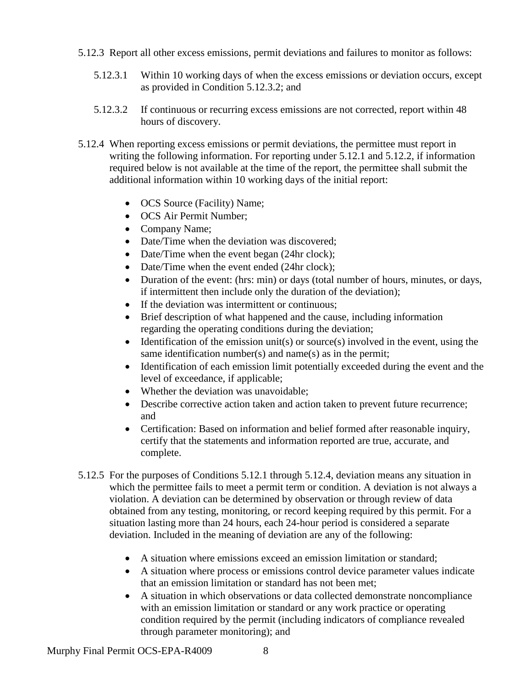- 5.12.3 Report all other excess emissions, permit deviations and failures to monitor as follows:
	- 5.12.3.1 Within 10 working days of when the excess emissions or deviation occurs, except as provided in Condition 5.12.3.2; and
	- 5.12.3.2 If continuous or recurring excess emissions are not corrected, report within 48 hours of discovery.
- 5.12.4 When reporting excess emissions or permit deviations, the permittee must report in writing the following information. For reporting under 5.12.1 and 5.12.2, if information required below is not available at the time of the report, the permittee shall submit the additional information within 10 working days of the initial report:
	- OCS Source (Facility) Name;
	- OCS Air Permit Number;
	- Company Name;
	- Date/Time when the deviation was discovered:
	- Date/Time when the event began (24hr clock);
	- Date/Time when the event ended (24hr clock);
	- Duration of the event: (hrs: min) or days (total number of hours, minutes, or days, if intermittent then include only the duration of the deviation);
	- If the deviation was intermittent or continuous;
	- Brief description of what happened and the cause, including information regarding the operating conditions during the deviation;
	- Identification of the emission unit(s) or source(s) involved in the event, using the same identification number(s) and name(s) as in the permit;
	- Identification of each emission limit potentially exceeded during the event and the level of exceedance, if applicable;
	- Whether the deviation was unavoidable;
	- Describe corrective action taken and action taken to prevent future recurrence; and
	- Certification: Based on information and belief formed after reasonable inquiry, certify that the statements and information reported are true, accurate, and complete.
- 5.12.5 For the purposes of Conditions 5.12.1 through 5.12.4, deviation means any situation in which the permittee fails to meet a permit term or condition. A deviation is not always a violation. A deviation can be determined by observation or through review of data obtained from any testing, monitoring, or record keeping required by this permit. For a situation lasting more than 24 hours, each 24-hour period is considered a separate deviation. Included in the meaning of deviation are any of the following:
	- A situation where emissions exceed an emission limitation or standard;
	- A situation where process or emissions control device parameter values indicate that an emission limitation or standard has not been met;
	- A situation in which observations or data collected demonstrate noncompliance with an emission limitation or standard or any work practice or operating condition required by the permit (including indicators of compliance revealed through parameter monitoring); and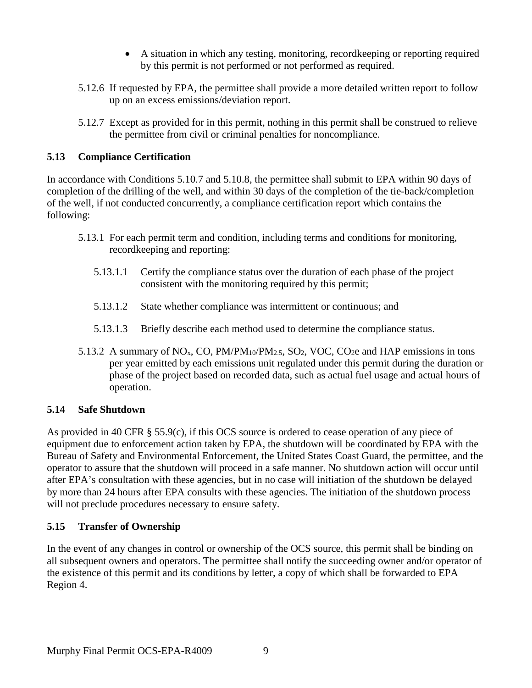- A situation in which any testing, monitoring, recordkeeping or reporting required by this permit is not performed or not performed as required.
- 5.12.6 If requested by EPA, the permittee shall provide a more detailed written report to follow up on an excess emissions/deviation report.
- 5.12.7 Except as provided for in this permit, nothing in this permit shall be construed to relieve the permittee from civil or criminal penalties for noncompliance.

### **5.13 Compliance Certification**

In accordance with Conditions 5.10.7 and 5.10.8, the permittee shall submit to EPA within 90 days of completion of the drilling of the well, and within 30 days of the completion of the tie-back/completion of the well, if not conducted concurrently, a compliance certification report which contains the following:

- 5.13.1 For each permit term and condition, including terms and conditions for monitoring, recordkeeping and reporting:
	- 5.13.1.1 Certify the compliance status over the duration of each phase of the project consistent with the monitoring required by this permit;
	- 5.13.1.2 State whether compliance was intermittent or continuous; and
	- 5.13.1.3 Briefly describe each method used to determine the compliance status.
- 5.13.2 A summary of  $NO_x$ , CO,  $PM/N_{10}/PM_{2.5}$ , SO<sub>2</sub>, VOC, CO<sub>2</sub>e and HAP emissions in tons per year emitted by each emissions unit regulated under this permit during the duration or phase of the project based on recorded data, such as actual fuel usage and actual hours of operation.

## **5.14 Safe Shutdown**

As provided in 40 CFR § 55.9(c), if this OCS source is ordered to cease operation of any piece of equipment due to enforcement action taken by EPA, the shutdown will be coordinated by EPA with the Bureau of Safety and Environmental Enforcement, the United States Coast Guard, the permittee, and the operator to assure that the shutdown will proceed in a safe manner. No shutdown action will occur until after EPA's consultation with these agencies, but in no case will initiation of the shutdown be delayed by more than 24 hours after EPA consults with these agencies. The initiation of the shutdown process will not preclude procedures necessary to ensure safety.

## **5.15 Transfer of Ownership**

In the event of any changes in control or ownership of the OCS source, this permit shall be binding on all subsequent owners and operators. The permittee shall notify the succeeding owner and/or operator of the existence of this permit and its conditions by letter, a copy of which shall be forwarded to EPA Region 4.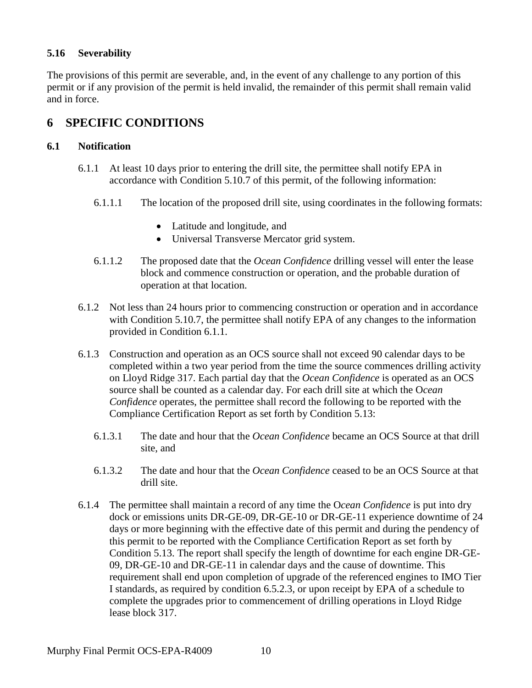### **5.16 Severability**

The provisions of this permit are severable, and, in the event of any challenge to any portion of this permit or if any provision of the permit is held invalid, the remainder of this permit shall remain valid and in force.

## **6 SPECIFIC CONDITIONS**

#### **6.1 Notification**

- 6.1.1 At least 10 days prior to entering the drill site, the permittee shall notify EPA in accordance with Condition 5.10.7 of this permit, of the following information:
	- 6.1.1.1 The location of the proposed drill site, using coordinates in the following formats:
		- Latitude and longitude, and
		- Universal Transverse Mercator grid system.
	- 6.1.1.2 The proposed date that the *Ocean Confidence* drilling vessel will enter the lease block and commence construction or operation, and the probable duration of operation at that location.
- 6.1.2 Not less than 24 hours prior to commencing construction or operation and in accordance with Condition 5.10.7, the permittee shall notify EPA of any changes to the information provided in Condition 6.1.1.
- 6.1.3 Construction and operation as an OCS source shall not exceed 90 calendar days to be completed within a two year period from the time the source commences drilling activity on Lloyd Ridge 317. Each partial day that the *Ocean Confidence* is operated as an OCS source shall be counted as a calendar day. For each drill site at which the O*cean Confidence* operates, the permittee shall record the following to be reported with the Compliance Certification Report as set forth by Condition 5.13:
	- 6.1.3.1 The date and hour that the *Ocean Confidence* became an OCS Source at that drill site, and
	- 6.1.3.2 The date and hour that the *Ocean Confidence* ceased to be an OCS Source at that drill site.
- 6.1.4 The permittee shall maintain a record of any time the O*cean Confidence* is put into dry dock or emissions units DR-GE-09, DR-GE-10 or DR-GE-11 experience downtime of 24 days or more beginning with the effective date of this permit and during the pendency of this permit to be reported with the Compliance Certification Report as set forth by Condition 5.13. The report shall specify the length of downtime for each engine DR-GE-09, DR-GE-10 and DR-GE-11 in calendar days and the cause of downtime. This requirement shall end upon completion of upgrade of the referenced engines to IMO Tier I standards, as required by condition 6.5.2.3, or upon receipt by EPA of a schedule to complete the upgrades prior to commencement of drilling operations in Lloyd Ridge lease block 317.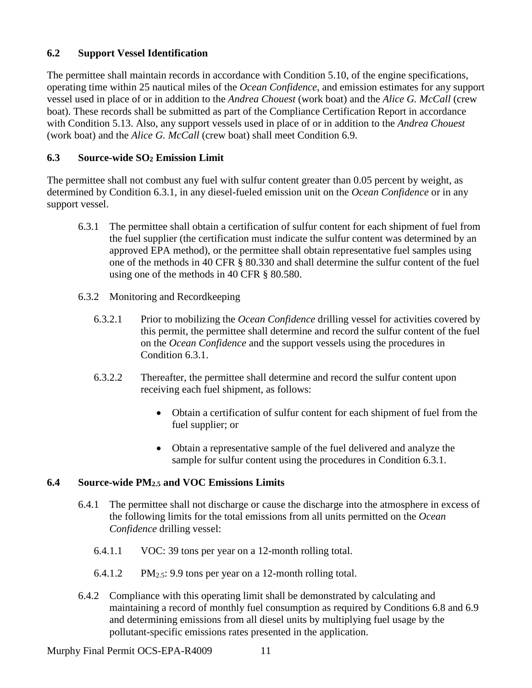### **6.2 Support Vessel Identification**

The permittee shall maintain records in accordance with Condition 5.10, of the engine specifications, operating time within 25 nautical miles of the *Ocean Confidence*, and emission estimates for any support vessel used in place of or in addition to the *Andrea Chouest* (work boat) and the *Alice G. McCall* (crew boat). These records shall be submitted as part of the Compliance Certification Report in accordance with Condition 5.13. Also, any support vessels used in place of or in addition to the *Andrea Chouest* (work boat) and the *Alice G. McCall* (crew boat) shall meet Condition 6.9.

### **6.3 Source-wide SO2 Emission Limit**

The permittee shall not combust any fuel with sulfur content greater than 0.05 percent by weight, as determined by Condition 6.3.1, in any diesel-fueled emission unit on the *Ocean Confidence* or in any support vessel.

- 6.3.1 The permittee shall obtain a certification of sulfur content for each shipment of fuel from the fuel supplier (the certification must indicate the sulfur content was determined by an approved EPA method), or the permittee shall obtain representative fuel samples using one of the methods in 40 CFR § 80.330 and shall determine the sulfur content of the fuel using one of the methods in 40 CFR § 80.580.
- 6.3.2 Monitoring and Recordkeeping
	- 6.3.2.1 Prior to mobilizing the *Ocean Confidence* drilling vessel for activities covered by this permit, the permittee shall determine and record the sulfur content of the fuel on the *Ocean Confidence* and the support vessels using the procedures in Condition 6.3.1.
	- 6.3.2.2 Thereafter, the permittee shall determine and record the sulfur content upon receiving each fuel shipment, as follows:
		- Obtain a certification of sulfur content for each shipment of fuel from the fuel supplier; or
		- Obtain a representative sample of the fuel delivered and analyze the sample for sulfur content using the procedures in Condition 6.3.1.

### **6.4 Source-wide PM2.5 and VOC Emissions Limits**

- 6.4.1 The permittee shall not discharge or cause the discharge into the atmosphere in excess of the following limits for the total emissions from all units permitted on the *Ocean Confidence* drilling vessel:
	- 6.4.1.1 VOC: 39 tons per year on a 12-month rolling total.
	- 6.4.1.2 PM2.5: 9.9 tons per year on a 12-month rolling total.
- 6.4.2 Compliance with this operating limit shall be demonstrated by calculating and maintaining a record of monthly fuel consumption as required by Conditions 6.8 and 6.9 and determining emissions from all diesel units by multiplying fuel usage by the pollutant-specific emissions rates presented in the application.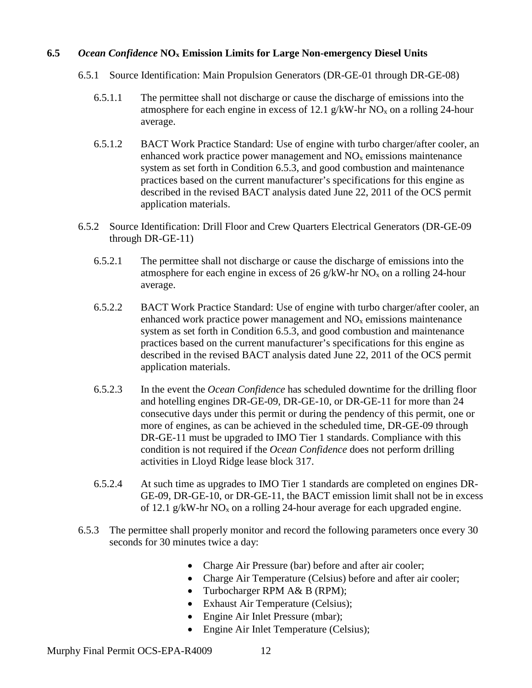#### **6.5** *Ocean Confidence* **NOx Emission Limits for Large Non-emergency Diesel Units**

- 6.5.1 Source Identification: Main Propulsion Generators (DR-GE-01 through DR-GE-08)
	- 6.5.1.1 The permittee shall not discharge or cause the discharge of emissions into the atmosphere for each engine in excess of 12.1 g/kW-hr  $NO<sub>x</sub>$  on a rolling 24-hour average.
	- 6.5.1.2 BACT Work Practice Standard: Use of engine with turbo charger/after cooler, an enhanced work practice power management and  $NO<sub>x</sub>$  emissions maintenance system as set forth in Condition 6.5.3, and good combustion and maintenance practices based on the current manufacturer's specifications for this engine as described in the revised BACT analysis dated June 22, 2011 of the OCS permit application materials.
- 6.5.2 Source Identification: Drill Floor and Crew Quarters Electrical Generators (DR-GE-09 through DR-GE-11)
	- 6.5.2.1 The permittee shall not discharge or cause the discharge of emissions into the atmosphere for each engine in excess of 26 g/kW-hr  $NO<sub>x</sub>$  on a rolling 24-hour average.
	- 6.5.2.2 BACT Work Practice Standard: Use of engine with turbo charger/after cooler, an enhanced work practice power management and  $NO<sub>x</sub>$  emissions maintenance system as set forth in Condition 6.5.3, and good combustion and maintenance practices based on the current manufacturer's specifications for this engine as described in the revised BACT analysis dated June 22, 2011 of the OCS permit application materials.
	- 6.5.2.3 In the event the *Ocean Confidence* has scheduled downtime for the drilling floor and hotelling engines DR-GE-09, DR-GE-10, or DR-GE-11 for more than 24 consecutive days under this permit or during the pendency of this permit, one or more of engines, as can be achieved in the scheduled time, DR-GE-09 through DR-GE-11 must be upgraded to IMO Tier 1 standards. Compliance with this condition is not required if the *Ocean Confidence* does not perform drilling activities in Lloyd Ridge lease block 317.
	- 6.5.2.4 At such time as upgrades to IMO Tier 1 standards are completed on engines DR-GE-09, DR-GE-10, or DR-GE-11, the BACT emission limit shall not be in excess of 12.1 g/kW-hr  $NO<sub>x</sub>$  on a rolling 24-hour average for each upgraded engine.
- 6.5.3 The permittee shall properly monitor and record the following parameters once every 30 seconds for 30 minutes twice a day:
	- Charge Air Pressure (bar) before and after air cooler;
	- Charge Air Temperature (Celsius) before and after air cooler;
	- Turbocharger RPM A& B (RPM);
	- Exhaust Air Temperature (Celsius);
	- Engine Air Inlet Pressure (mbar);
	- Engine Air Inlet Temperature (Celsius);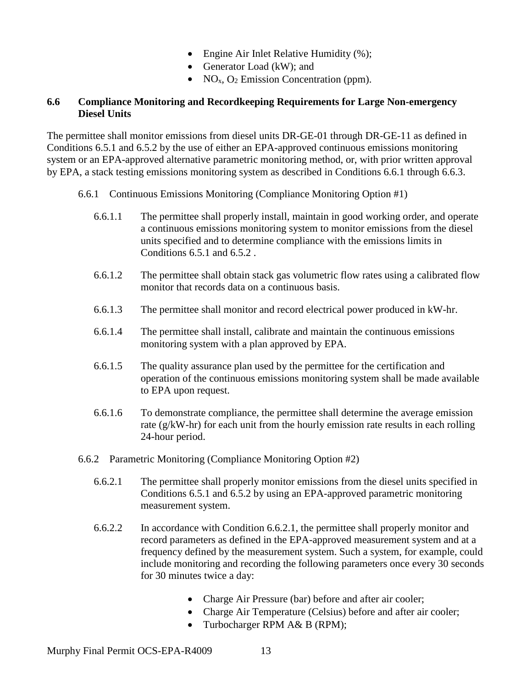- Engine Air Inlet Relative Humidity (%);
- Generator Load (kW); and
- NO<sub>x</sub>, O<sub>2</sub> Emission Concentration (ppm).

#### **6.6 Compliance Monitoring and Recordkeeping Requirements for Large Non-emergency Diesel Units**

The permittee shall monitor emissions from diesel units DR-GE-01 through DR-GE-11 as defined in Conditions 6.5.1 and 6.5.2 by the use of either an EPA-approved continuous emissions monitoring system or an EPA-approved alternative parametric monitoring method, or, with prior written approval by EPA, a stack testing emissions monitoring system as described in Conditions 6.6.1 through 6.6.3.

- 6.6.1 Continuous Emissions Monitoring (Compliance Monitoring Option #1)
	- 6.6.1.1 The permittee shall properly install, maintain in good working order, and operate a continuous emissions monitoring system to monitor emissions from the diesel units specified and to determine compliance with the emissions limits in Conditions 6.5.1 and 6.5.2 .
	- 6.6.1.2 The permittee shall obtain stack gas volumetric flow rates using a calibrated flow monitor that records data on a continuous basis.
	- 6.6.1.3 The permittee shall monitor and record electrical power produced in kW-hr.
	- 6.6.1.4 The permittee shall install, calibrate and maintain the continuous emissions monitoring system with a plan approved by EPA.
	- 6.6.1.5 The quality assurance plan used by the permittee for the certification and operation of the continuous emissions monitoring system shall be made available to EPA upon request.
	- 6.6.1.6 To demonstrate compliance, the permittee shall determine the average emission rate (g/kW-hr) for each unit from the hourly emission rate results in each rolling 24-hour period.
- 6.6.2 Parametric Monitoring (Compliance Monitoring Option #2)
	- 6.6.2.1 The permittee shall properly monitor emissions from the diesel units specified in Conditions 6.5.1 and 6.5.2 by using an EPA-approved parametric monitoring measurement system.
	- 6.6.2.2 In accordance with Condition 6.6.2.1, the permittee shall properly monitor and record parameters as defined in the EPA-approved measurement system and at a frequency defined by the measurement system. Such a system, for example, could include monitoring and recording the following parameters once every 30 seconds for 30 minutes twice a day:
		- Charge Air Pressure (bar) before and after air cooler;
		- Charge Air Temperature (Celsius) before and after air cooler;
		- Turbocharger RPM A& B (RPM);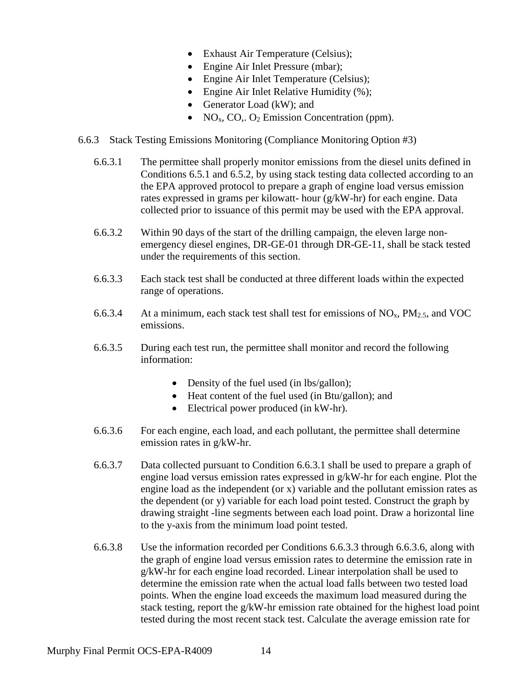- Exhaust Air Temperature (Celsius);
- Engine Air Inlet Pressure (mbar);
- Engine Air Inlet Temperature (Celsius);
- Engine Air Inlet Relative Humidity (%);
- Generator Load (kW); and
- NO<sub>x</sub>, CO<sub>i</sub>. O<sub>2</sub> Emission Concentration (ppm).
- 6.6.3 Stack Testing Emissions Monitoring (Compliance Monitoring Option #3)
	- 6.6.3.1 The permittee shall properly monitor emissions from the diesel units defined in Conditions 6.5.1 and 6.5.2, by using stack testing data collected according to an the EPA approved protocol to prepare a graph of engine load versus emission rates expressed in grams per kilowatt- hour (g/kW-hr) for each engine. Data collected prior to issuance of this permit may be used with the EPA approval.
	- 6.6.3.2 Within 90 days of the start of the drilling campaign, the eleven large nonemergency diesel engines, DR-GE-01 through DR-GE-11, shall be stack tested under the requirements of this section.
	- 6.6.3.3 Each stack test shall be conducted at three different loads within the expected range of operations.
	- 6.6.3.4 At a minimum, each stack test shall test for emissions of  $NO<sub>x</sub>$ ,  $PM<sub>2.5</sub>$ , and VOC emissions.
	- 6.6.3.5 During each test run, the permittee shall monitor and record the following information:
		- Density of the fuel used (in lbs/gallon);
		- Heat content of the fuel used (in Btu/gallon); and
		- Electrical power produced (in kW-hr).
	- 6.6.3.6 For each engine, each load, and each pollutant, the permittee shall determine emission rates in g/kW-hr.
	- 6.6.3.7 Data collected pursuant to Condition 6.6.3.1 shall be used to prepare a graph of engine load versus emission rates expressed in g/kW-hr for each engine. Plot the engine load as the independent (or x) variable and the pollutant emission rates as the dependent (or y) variable for each load point tested. Construct the graph by drawing straight -line segments between each load point. Draw a horizontal line to the y-axis from the minimum load point tested.
	- 6.6.3.8 Use the information recorded per Conditions 6.6.3.3 through 6.6.3.6, along with the graph of engine load versus emission rates to determine the emission rate in g/kW-hr for each engine load recorded. Linear interpolation shall be used to determine the emission rate when the actual load falls between two tested load points. When the engine load exceeds the maximum load measured during the stack testing, report the  $g/kW$ -hr emission rate obtained for the highest load point tested during the most recent stack test. Calculate the average emission rate for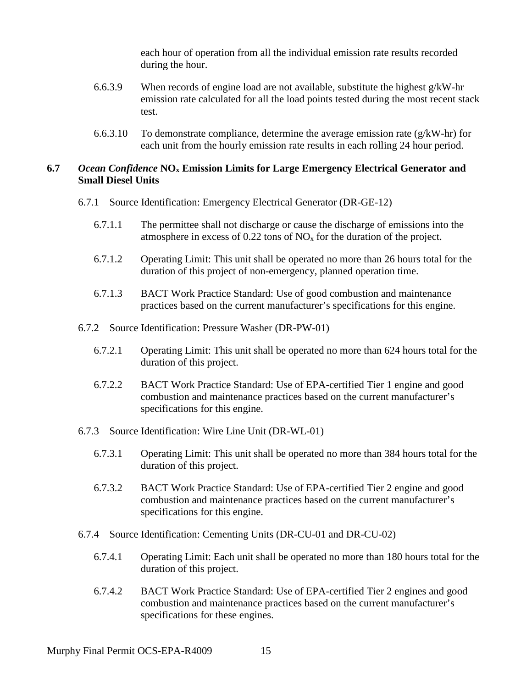each hour of operation from all the individual emission rate results recorded during the hour.

- 6.6.3.9 When records of engine load are not available, substitute the highest g/kW-hr emission rate calculated for all the load points tested during the most recent stack test.
- 6.6.3.10 To demonstrate compliance, determine the average emission rate  $(g/kW-hr)$  for each unit from the hourly emission rate results in each rolling 24 hour period.

#### **6.7** *Ocean Confidence* **NOx Emission Limits for Large Emergency Electrical Generator and Small Diesel Units**

- 6.7.1 Source Identification: Emergency Electrical Generator (DR-GE-12)
	- 6.7.1.1 The permittee shall not discharge or cause the discharge of emissions into the atmosphere in excess of  $0.22$  tons of  $NO<sub>x</sub>$  for the duration of the project.
	- 6.7.1.2 Operating Limit: This unit shall be operated no more than 26 hours total for the duration of this project of non-emergency, planned operation time.
	- 6.7.1.3 BACT Work Practice Standard: Use of good combustion and maintenance practices based on the current manufacturer's specifications for this engine.
- 6.7.2 Source Identification: Pressure Washer (DR-PW-01)
	- 6.7.2.1 Operating Limit: This unit shall be operated no more than 624 hours total for the duration of this project.
	- 6.7.2.2 BACT Work Practice Standard: Use of EPA-certified Tier 1 engine and good combustion and maintenance practices based on the current manufacturer's specifications for this engine.
- 6.7.3 Source Identification: Wire Line Unit (DR-WL-01)
	- 6.7.3.1 Operating Limit: This unit shall be operated no more than 384 hours total for the duration of this project.
	- 6.7.3.2 BACT Work Practice Standard: Use of EPA-certified Tier 2 engine and good combustion and maintenance practices based on the current manufacturer's specifications for this engine.
- 6.7.4 Source Identification: Cementing Units (DR-CU-01 and DR-CU-02)
	- 6.7.4.1 Operating Limit: Each unit shall be operated no more than 180 hours total for the duration of this project.
	- 6.7.4.2 BACT Work Practice Standard: Use of EPA-certified Tier 2 engines and good combustion and maintenance practices based on the current manufacturer's specifications for these engines.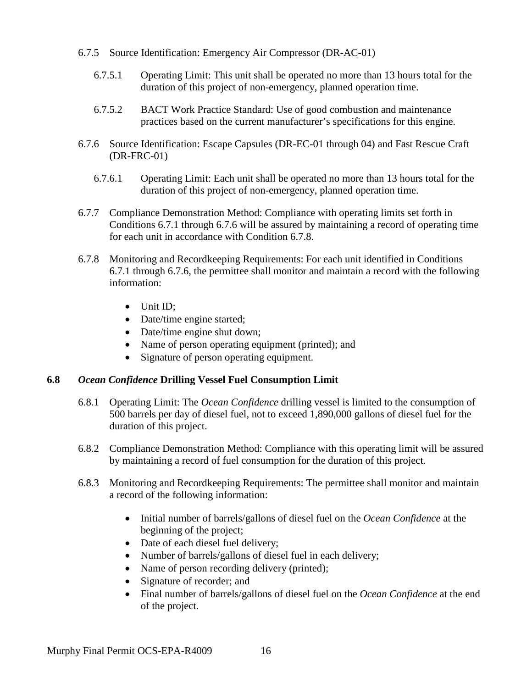- 6.7.5 Source Identification: Emergency Air Compressor (DR-AC-01)
	- 6.7.5.1 Operating Limit: This unit shall be operated no more than 13 hours total for the duration of this project of non-emergency, planned operation time.
	- 6.7.5.2 BACT Work Practice Standard: Use of good combustion and maintenance practices based on the current manufacturer's specifications for this engine.
- 6.7.6 Source Identification: Escape Capsules (DR-EC-01 through 04) and Fast Rescue Craft (DR-FRC-01)
	- 6.7.6.1 Operating Limit: Each unit shall be operated no more than 13 hours total for the duration of this project of non-emergency, planned operation time.
- 6.7.7 Compliance Demonstration Method: Compliance with operating limits set forth in Conditions 6.7.1 through 6.7.6 will be assured by maintaining a record of operating time for each unit in accordance with Condition 6.7.8.
- 6.7.8 Monitoring and Recordkeeping Requirements: For each unit identified in Conditions 6.7.1 through 6.7.6, the permittee shall monitor and maintain a record with the following information:
	- Unit ID;
	- Date/time engine started;
	- Date/time engine shut down;
	- Name of person operating equipment (printed); and
	- Signature of person operating equipment.

### **6.8** *Ocean Confidence* **Drilling Vessel Fuel Consumption Limit**

- 6.8.1 Operating Limit: The *Ocean Confidence* drilling vessel is limited to the consumption of 500 barrels per day of diesel fuel, not to exceed 1,890,000 gallons of diesel fuel for the duration of this project.
- 6.8.2 Compliance Demonstration Method: Compliance with this operating limit will be assured by maintaining a record of fuel consumption for the duration of this project.
- 6.8.3 Monitoring and Recordkeeping Requirements: The permittee shall monitor and maintain a record of the following information:
	- Initial number of barrels/gallons of diesel fuel on the *Ocean Confidence* at the beginning of the project;
	- Date of each diesel fuel delivery;
	- Number of barrels/gallons of diesel fuel in each delivery;
	- Name of person recording delivery (printed);
	- Signature of recorder; and
	- Final number of barrels/gallons of diesel fuel on the *Ocean Confidence* at the end of the project.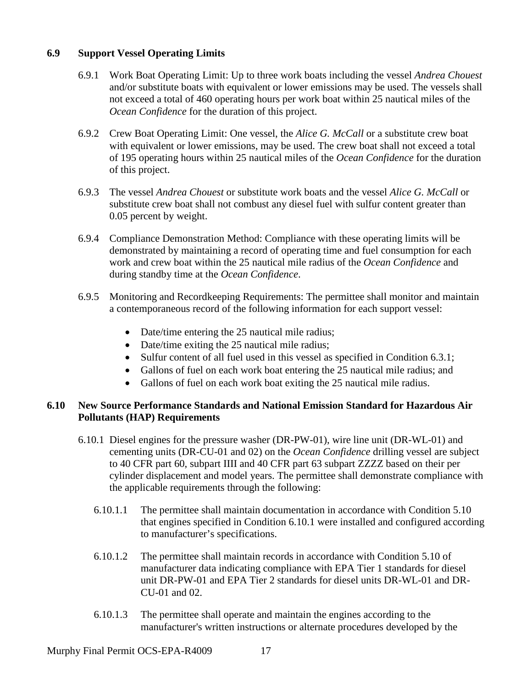#### **6.9 Support Vessel Operating Limits**

- 6.9.1 Work Boat Operating Limit: Up to three work boats including the vessel *Andrea Chouest* and/or substitute boats with equivalent or lower emissions may be used. The vessels shall not exceed a total of 460 operating hours per work boat within 25 nautical miles of the *Ocean Confidence* for the duration of this project.
- 6.9.2 Crew Boat Operating Limit: One vessel, the *Alice G. McCall* or a substitute crew boat with equivalent or lower emissions, may be used. The crew boat shall not exceed a total of 195 operating hours within 25 nautical miles of the *Ocean Confidence* for the duration of this project.
- 6.9.3 The vessel *Andrea Chouest* or substitute work boats and the vessel *Alice G. McCall* or substitute crew boat shall not combust any diesel fuel with sulfur content greater than 0.05 percent by weight.
- 6.9.4 Compliance Demonstration Method: Compliance with these operating limits will be demonstrated by maintaining a record of operating time and fuel consumption for each work and crew boat within the 25 nautical mile radius of the *Ocean Confidence* and during standby time at the *Ocean Confidence*.
- 6.9.5 Monitoring and Recordkeeping Requirements: The permittee shall monitor and maintain a contemporaneous record of the following information for each support vessel:
	- Date/time entering the 25 nautical mile radius;
	- Date/time exiting the 25 nautical mile radius;
	- Sulfur content of all fuel used in this vessel as specified in Condition 6.3.1;
	- Gallons of fuel on each work boat entering the 25 nautical mile radius; and
	- Gallons of fuel on each work boat exiting the 25 nautical mile radius.

### **6.10 New Source Performance Standards and National Emission Standard for Hazardous Air Pollutants (HAP) Requirements**

- 6.10.1 Diesel engines for the pressure washer (DR-PW-01), wire line unit (DR-WL-01) and cementing units (DR-CU-01 and 02) on the *Ocean Confidence* drilling vessel are subject to 40 CFR part 60, subpart IIII and 40 CFR part 63 subpart ZZZZ based on their per cylinder displacement and model years. The permittee shall demonstrate compliance with the applicable requirements through the following:
	- 6.10.1.1 The permittee shall maintain documentation in accordance with Condition 5.10 that engines specified in Condition 6.10.1 were installed and configured according to manufacturer's specifications.
	- 6.10.1.2 The permittee shall maintain records in accordance with Condition 5.10 of manufacturer data indicating compliance with EPA Tier 1 standards for diesel unit DR-PW-01 and EPA Tier 2 standards for diesel units DR-WL-01 and DR-CU-01 and 02.
	- 6.10.1.3 The permittee shall operate and maintain the engines according to the manufacturer's written instructions or alternate procedures developed by the